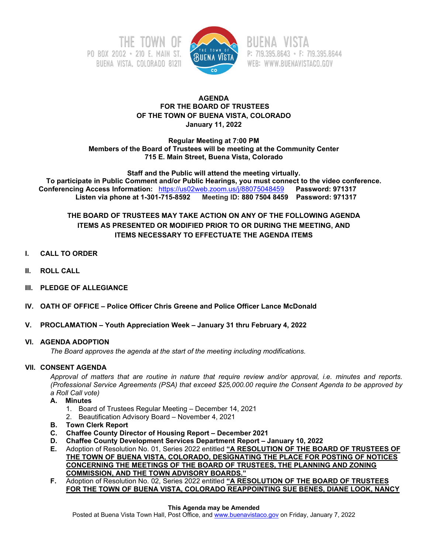



P: 719.395.8643 · F: 719.395.8644 WEB: WWW.BUENAVISTACO.GOV

### **AGENDA FOR THE BOARD OF TRUSTEES OF THE TOWN OF BUENA VISTA, COLORADO January 11, 2022**

**Regular Meeting at 7:00 PM Members of the Board of Trustees will be meeting at the Community Center 715 E. Main Street, Buena Vista, Colorado**

**Staff and the Public will attend the meeting virtually. To participate in Public Comment and/or Public Hearings, you must connect to the video conference. Conferencing Access Information: https://us02web.zoom.us/j/88075048459**<br>**Listen via phone at 1-301-715-8592** Meeting ID: 880 7504 8459 **Listen via phone at 1-301-715-8592 Meeting ID: 880 7504 8459 Password: 971317**

# **THE BOARD OF TRUSTEES MAY TAKE ACTION ON ANY OF THE FOLLOWING AGENDA ITEMS AS PRESENTED OR MODIFIED PRIOR TO OR DURING THE MEETING, AND ITEMS NECESSARY TO EFFECTUATE THE AGENDA ITEMS**

- **I. CALL TO ORDER**
- **II. ROLL CALL**
- **III. PLEDGE OF ALLEGIANCE**
- **IV. OATH OF OFFICE – Police Officer Chris Greene and Police Officer Lance McDonald**
- **V. PROCLAMATION – Youth Appreciation Week – January 31 thru February 4, 2022**

#### **VI. AGENDA ADOPTION**

*The Board approves the agenda at the start of the meeting including modifications.*

#### **VII. CONSENT AGENDA**

*Approval of matters that are routine in nature that require review and/or approval, i.e. minutes and reports. (Professional Service Agreements (PSA) that exceed \$25,000.00 require the Consent Agenda to be approved by a Roll Call vote)*

#### **A. Minutes**

- 1. Board of Trustees Regular Meeting December 14, 2021
- 2. Beautification Advisory Board November 4, 2021
- **B. Town Clerk Report**
- **C. Chaffee County Director of Housing Report – December 2021**
- **D. Chaffee County Development Services Department Report – January 10, 2022**
- **E.** Adoption of Resolution No. 01, Series 2022 entitled **"A RESOLUTION OF THE BOARD OF TRUSTEES OF THE TOWN OF BUENA VISTA, COLORADO, DESIGNATING THE PLACE FOR POSTING OF NOTICES CONCERNING THE MEETINGS OF THE BOARD OF TRUSTEES, THE PLANNING AND ZONING COMMISSION, AND THE TOWN ADVISORY BOARDS."**
- **F.** Adoption of Resolution No. 02, Series 2022 entitled **"A RESOLUTION OF THE BOARD OF TRUSTEES FOR THE TOWN OF BUENA VISTA, COLORADO REAPPOINTING SUE BENES, DIANE LOOK, NANCY**

#### **This Agenda may be Amended**

Posted at Buena Vista Town Hall, Post Office, an[d www.buenavistaco.gov](http://www.buenavistaco.gov/) on Friday, January 7, 2022